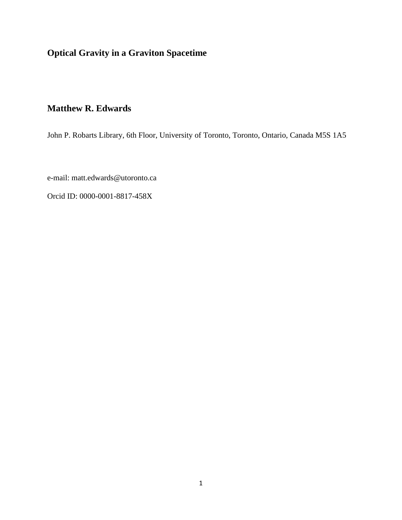**Optical Gravity in a Graviton Spacetime**

# **Matthew R. Edwards**

John P. Robarts Library, 6th Floor, University of Toronto, Toronto, Ontario, Canada M5S 1A5

e-mail: matt.edwards@utoronto.ca

Orcid ID: 0000-0001-8817-458X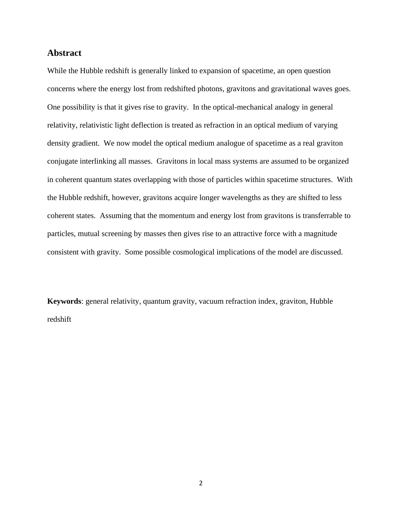# **Abstract**

While the Hubble redshift is generally linked to expansion of spacetime, an open question concerns where the energy lost from redshifted photons, gravitons and gravitational waves goes. One possibility is that it gives rise to gravity. In the optical-mechanical analogy in general relativity, relativistic light deflection is treated as refraction in an optical medium of varying density gradient. We now model the optical medium analogue of spacetime as a real graviton conjugate interlinking all masses. Gravitons in local mass systems are assumed to be organized in coherent quantum states overlapping with those of particles within spacetime structures. With the Hubble redshift, however, gravitons acquire longer wavelengths as they are shifted to less coherent states. Assuming that the momentum and energy lost from gravitons is transferrable to particles, mutual screening by masses then gives rise to an attractive force with a magnitude consistent with gravity. Some possible cosmological implications of the model are discussed.

**Keywords**: general relativity, quantum gravity, vacuum refraction index, graviton, Hubble redshift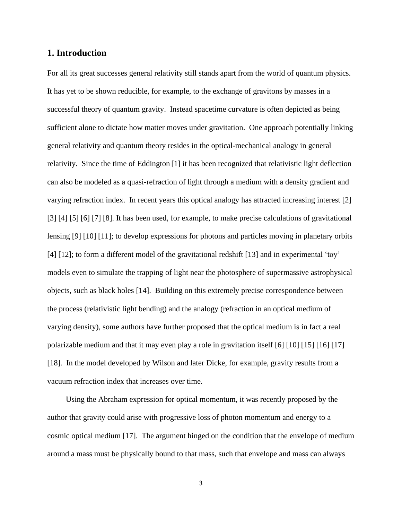# **1. Introduction**

For all its great successes general relativity still stands apart from the world of quantum physics. It has yet to be shown reducible, for example, to the exchange of gravitons by masses in a successful theory of quantum gravity. Instead spacetime curvature is often depicted as being sufficient alone to dictate how matter moves under gravitation. One approach potentially linking general relativity and quantum theory resides in the optical-mechanical analogy in general relativity. Since the time of Eddington [1] it has been recognized that relativistic light deflection can also be modeled as a quasi-refraction of light through a medium with a density gradient and varying refraction index. In recent years this optical analogy has attracted increasing interest [2] [3] [4] [5] [6] [7] [8]. It has been used, for example, to make precise calculations of gravitational lensing [9] [10] [11]; to develop expressions for photons and particles moving in planetary orbits [4] [12]; to form a different model of the gravitational redshift [13] and in experimental 'toy' models even to simulate the trapping of light near the photosphere of supermassive astrophysical objects, such as black holes [14]. Building on this extremely precise correspondence between the process (relativistic light bending) and the analogy (refraction in an optical medium of varying density), some authors have further proposed that the optical medium is in fact a real polarizable medium and that it may even play a role in gravitation itself [6] [10] [15] [16] [17] [18]. In the model developed by Wilson and later Dicke, for example, gravity results from a vacuum refraction index that increases over time.

Using the Abraham expression for optical momentum, it was recently proposed by the author that gravity could arise with progressive loss of photon momentum and energy to a cosmic optical medium [17]. The argument hinged on the condition that the envelope of medium around a mass must be physically bound to that mass, such that envelope and mass can always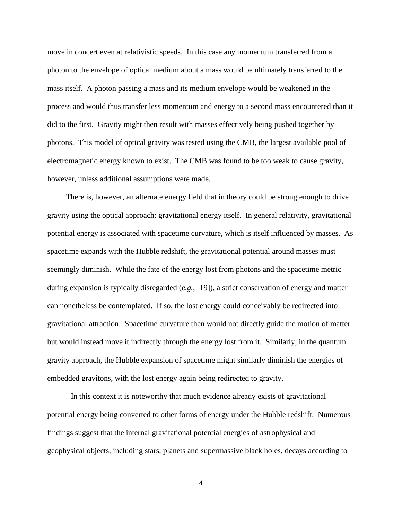move in concert even at relativistic speeds. In this case any momentum transferred from a photon to the envelope of optical medium about a mass would be ultimately transferred to the mass itself. A photon passing a mass and its medium envelope would be weakened in the process and would thus transfer less momentum and energy to a second mass encountered than it did to the first. Gravity might then result with masses effectively being pushed together by photons. This model of optical gravity was tested using the CMB, the largest available pool of electromagnetic energy known to exist. The CMB was found to be too weak to cause gravity, however, unless additional assumptions were made.

There is, however, an alternate energy field that in theory could be strong enough to drive gravity using the optical approach: gravitational energy itself. In general relativity, gravitational potential energy is associated with spacetime curvature, which is itself influenced by masses. As spacetime expands with the Hubble redshift, the gravitational potential around masses must seemingly diminish. While the fate of the energy lost from photons and the spacetime metric during expansion is typically disregarded (*e.g.*, [19]), a strict conservation of energy and matter can nonetheless be contemplated. If so, the lost energy could conceivably be redirected into gravitational attraction. Spacetime curvature then would not directly guide the motion of matter but would instead move it indirectly through the energy lost from it. Similarly, in the quantum gravity approach, the Hubble expansion of spacetime might similarly diminish the energies of embedded gravitons, with the lost energy again being redirected to gravity.

In this context it is noteworthy that much evidence already exists of gravitational potential energy being converted to other forms of energy under the Hubble redshift. Numerous findings suggest that the internal gravitational potential energies of astrophysical and geophysical objects, including stars, planets and supermassive black holes, decays according to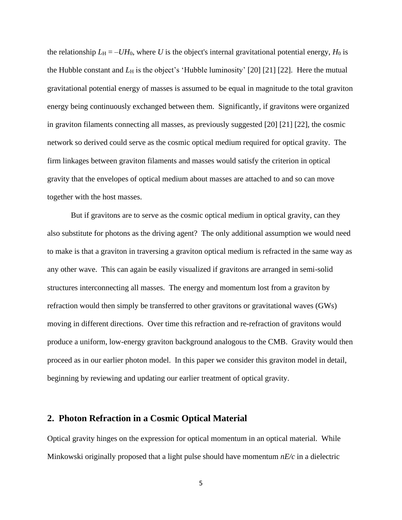the relationship  $L_H = -UH_0$ , where *U* is the object's internal gravitational potential energy,  $H_0$  is the Hubble constant and  $L_H$  is the object's 'Hubble luminosity' [20] [21] [22]. Here the mutual gravitational potential energy of masses is assumed to be equal in magnitude to the total graviton energy being continuously exchanged between them. Significantly, if gravitons were organized in graviton filaments connecting all masses, as previously suggested [20] [21] [22], the cosmic network so derived could serve as the cosmic optical medium required for optical gravity. The firm linkages between graviton filaments and masses would satisfy the criterion in optical gravity that the envelopes of optical medium about masses are attached to and so can move together with the host masses.

But if gravitons are to serve as the cosmic optical medium in optical gravity, can they also substitute for photons as the driving agent? The only additional assumption we would need to make is that a graviton in traversing a graviton optical medium is refracted in the same way as any other wave. This can again be easily visualized if gravitons are arranged in semi-solid structures interconnecting all masses. The energy and momentum lost from a graviton by refraction would then simply be transferred to other gravitons or gravitational waves (GWs) moving in different directions. Over time this refraction and re-refraction of gravitons would produce a uniform, low-energy graviton background analogous to the CMB. Gravity would then proceed as in our earlier photon model. In this paper we consider this graviton model in detail, beginning by reviewing and updating our earlier treatment of optical gravity.

# **2. Photon Refraction in a Cosmic Optical Material**

Optical gravity hinges on the expression for optical momentum in an optical material. While Minkowski originally proposed that a light pulse should have momentum *nE/c* in a dielectric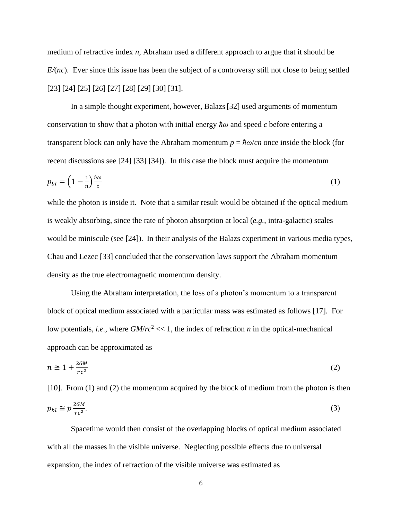medium of refractive index *n*, Abraham used a different approach to argue that it should be *E/*(*nc*). Ever since this issue has been the subject of a controversy still not close to being settled [23] [24] [25] [26] [27] [28] [29] [30] [31].

In a simple thought experiment, however, Balazs[32] used arguments of momentum conservation to show that a photon with initial energy *ħω* and speed *c* before entering a transparent block can only have the Abraham momentum  $p = \hbar \omega / c n$  once inside the block (for recent discussions see [24] [33] [34]). In this case the block must acquire the momentum

$$
p_{bl} = \left(1 - \frac{1}{n}\right)\frac{\hbar\omega}{c} \tag{1}
$$

while the photon is inside it. Note that a similar result would be obtained if the optical medium is weakly absorbing, since the rate of photon absorption at local (*e.g.*, intra-galactic) scales would be miniscule (see [24]). In their analysis of the Balazs experiment in various media types, Chau and Lezec [33] concluded that the conservation laws support the Abraham momentum density as the true electromagnetic momentum density.

Using the Abraham interpretation, the loss of a photon's momentum to a transparent block of optical medium associated with a particular mass was estimated as follows [17]. For low potentials, *i.e.*, where  $GM/rc^2 \ll 1$ , the index of refraction *n* in the optical-mechanical approach can be approximated as

$$
n \cong 1 + \frac{2GM}{rc^2} \tag{2}
$$

[10]. From (1) and (2) the momentum acquired by the block of medium from the photon is then  $p_{bl} \cong p \frac{2GM}{rc^2}$  $rc^2$ .  $(3)$ 

Spacetime would then consist of the overlapping blocks of optical medium associated with all the masses in the visible universe. Neglecting possible effects due to universal expansion, the index of refraction of the visible universe was estimated as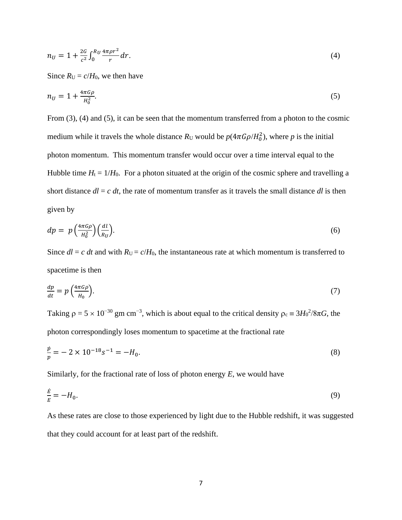$$
n_U = 1 + \frac{2G}{c^2} \int_0^{R_U} \frac{4\pi \rho r^2}{r} dr.
$$
 (4)

Since  $R_U = c/H_0$ , we then have

$$
n_U = 1 + \frac{4\pi G\rho}{H_0^2}.\tag{5}
$$

From (3), (4) and (5), it can be seen that the momentum transferred from a photon to the cosmic medium while it travels the whole distance  $R_U$  would be  $p(4\pi G\rho/H_0^2)$ , where p is the initial photon momentum. This momentum transfer would occur over a time interval equal to the Hubble time  $H_t = 1/H_0$ . For a photon situated at the origin of the cosmic sphere and travelling a short distance  $dl = c \, dt$ , the rate of momentum transfer as it travels the small distance  $dl$  is then given by

$$
dp = p \left(\frac{4\pi G \rho}{H_0^2}\right) \left(\frac{dl}{R_U}\right). \tag{6}
$$

Since  $dl = c$  *dt* and with  $R_U = c/H_0$ , the instantaneous rate at which momentum is transferred to spacetime is then

$$
\frac{dp}{dt} = p\left(\frac{4\pi G\rho}{H_0}\right). \tag{7}
$$

Taking  $\rho = 5 \times 10^{-30}$  gm cm<sup>-3</sup>, which is about equal to the critical density  $\rho_c = 3H_0^2/8\pi G$ , the photon correspondingly loses momentum to spacetime at the fractional rate

$$
\frac{p}{p} = -2 \times 10^{-18} s^{-1} = -H_0.
$$
\n(8)

Similarly, for the fractional rate of loss of photon energy *E*, we would have

$$
\frac{\dot{E}}{E} = -H_0.\tag{9}
$$

As these rates are close to those experienced by light due to the Hubble redshift, it was suggested that they could account for at least part of the redshift.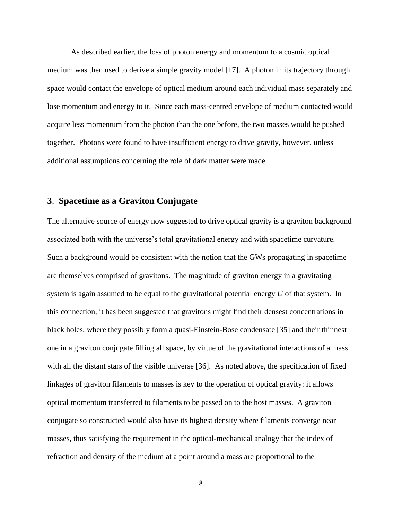As described earlier, the loss of photon energy and momentum to a cosmic optical medium was then used to derive a simple gravity model [17]. A photon in its trajectory through space would contact the envelope of optical medium around each individual mass separately and lose momentum and energy to it. Since each mass-centred envelope of medium contacted would acquire less momentum from the photon than the one before, the two masses would be pushed together. Photons were found to have insufficient energy to drive gravity, however, unless additional assumptions concerning the role of dark matter were made.

# **3**. **Spacetime as a Graviton Conjugate**

The alternative source of energy now suggested to drive optical gravity is a graviton background associated both with the universe's total gravitational energy and with spacetime curvature. Such a background would be consistent with the notion that the GWs propagating in spacetime are themselves comprised of gravitons. The magnitude of graviton energy in a gravitating system is again assumed to be equal to the gravitational potential energy *U* of that system.In this connection, it has been suggested that gravitons might find their densest concentrations in black holes, where they possibly form a quasi-Einstein-Bose condensate [35] and their thinnest one in a graviton conjugate filling all space, by virtue of the gravitational interactions of a mass with all the distant stars of the visible universe [36]. As noted above, the specification of fixed linkages of graviton filaments to masses is key to the operation of optical gravity: it allows optical momentum transferred to filaments to be passed on to the host masses. A graviton conjugate so constructed would also have its highest density where filaments converge near masses, thus satisfying the requirement in the optical-mechanical analogy that the index of refraction and density of the medium at a point around a mass are proportional to the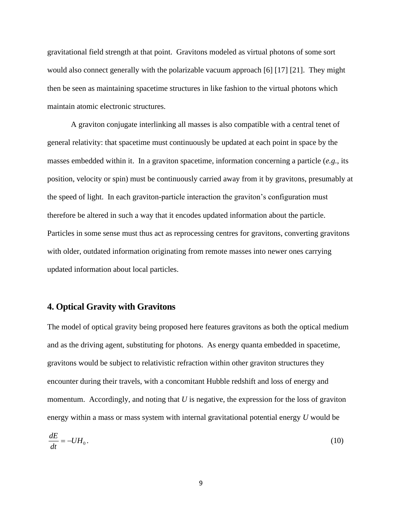gravitational field strength at that point. Gravitons modeled as virtual photons of some sort would also connect generally with the polarizable vacuum approach [6] [17] [21]. They might then be seen as maintaining spacetime structures in like fashion to the virtual photons which maintain atomic electronic structures.

A graviton conjugate interlinking all masses is also compatible with a central tenet of general relativity: that spacetime must continuously be updated at each point in space by the masses embedded within it. In a graviton spacetime, information concerning a particle (*e.g.*, its position, velocity or spin) must be continuously carried away from it by gravitons, presumably at the speed of light. In each graviton-particle interaction the graviton's configuration must therefore be altered in such a way that it encodes updated information about the particle. Particles in some sense must thus act as reprocessing centres for gravitons, converting gravitons with older, outdated information originating from remote masses into newer ones carrying updated information about local particles.

# **4. Optical Gravity with Gravitons**

The model of optical gravity being proposed here features gravitons as both the optical medium and as the driving agent, substituting for photons. As energy quanta embedded in spacetime, gravitons would be subject to relativistic refraction within other graviton structures they encounter during their travels, with a concomitant Hubble redshift and loss of energy and momentum. Accordingly, and noting that *U* is negative, the expression for the loss of graviton energy within a mass or mass system with internal gravitational potential energy *U* would be

$$
\frac{dE}{dt} = -UH_0.\tag{10}
$$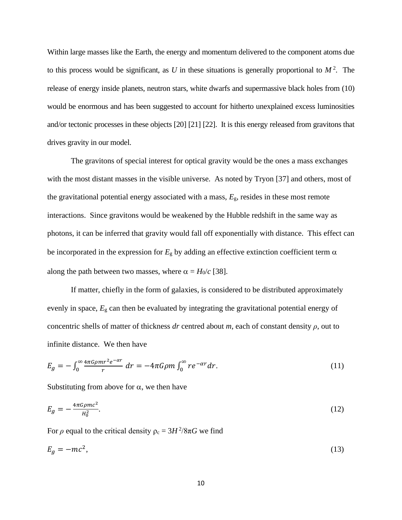Within large masses like the Earth, the energy and momentum delivered to the component atoms due to this process would be significant, as  $U$  in these situations is generally proportional to  $M^2$ . The release of energy inside planets, neutron stars, white dwarfs and supermassive black holes from (10) would be enormous and has been suggested to account for hitherto unexplained excess luminosities and/or tectonic processes in these objects [20] [21] [22]. It is this energy released from gravitons that drives gravity in our model.

The gravitons of special interest for optical gravity would be the ones a mass exchanges with the most distant masses in the visible universe. As noted by Tryon [37] and others, most of the gravitational potential energy associated with a mass, *E*g, resides in these most remote interactions. Since gravitons would be weakened by the Hubble redshift in the same way as photons, it can be inferred that gravity would fall off exponentially with distance. This effect can be incorporated in the expression for  $E<sub>g</sub>$  by adding an effective extinction coefficient term  $\alpha$ along the path between two masses, where  $\alpha = H_0/c$  [38].

If matter, chiefly in the form of galaxies, is considered to be distributed approximately evenly in space, *E*<sup>g</sup> can then be evaluated by integrating the gravitational potential energy of concentric shells of matter of thickness *dr* centred about *m*, each of constant density *ρ*, out to infinite distance. We then have

$$
E_g = -\int_0^\infty \frac{4\pi G \rho m r^2 e^{-\alpha r}}{r} dr = -4\pi G \rho m \int_0^\infty r e^{-\alpha r} dr. \tag{11}
$$

Substituting from above for  $\alpha$ , we then have

$$
E_g = -\frac{4\pi G \rho mc^2}{H_0^2}.\tag{12}
$$

For  $\rho$  equal to the critical density  $\rho_c = 3H^2/8\pi G$  we find

$$
E_g = -mc^2,\tag{13}
$$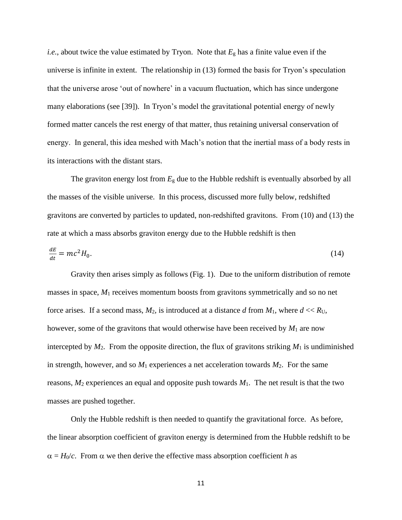*i.e.*, about twice the value estimated by Tryon. Note that *E*<sup>g</sup> has a finite value even if the universe is infinite in extent. The relationship in (13) formed the basis for Tryon's speculation that the universe arose 'out of nowhere' in a vacuum fluctuation, which has since undergone many elaborations (see [39]). In Tryon's model the gravitational potential energy of newly formed matter cancels the rest energy of that matter, thus retaining universal conservation of energy. In general, this idea meshed with Mach's notion that the inertial mass of a body rests in its interactions with the distant stars.

The graviton energy lost from *E*<sup>g</sup> due to the Hubble redshift is eventually absorbed by all the masses of the visible universe. In this process, discussed more fully below, redshifted gravitons are converted by particles to updated, non-redshifted gravitons. From (10) and (13) the rate at which a mass absorbs graviton energy due to the Hubble redshift is then

$$
\frac{dE}{dt} = mc^2 H_0. \tag{14}
$$

Gravity then arises simply as follows (Fig. 1). Due to the uniform distribution of remote masses in space, *M*<sup>1</sup> receives momentum boosts from gravitons symmetrically and so no net force arises. If a second mass,  $M_2$ , is introduced at a distance  $d$  from  $M_1$ , where  $d \ll R_U$ , however, some of the gravitons that would otherwise have been received by *M*<sup>1</sup> are now intercepted by  $M_2$ . From the opposite direction, the flux of gravitons striking  $M_1$  is undiminished in strength, however, and so  $M_1$  experiences a net acceleration towards  $M_2$ . For the same reasons,  $M_2$  experiences an equal and opposite push towards  $M_1$ . The net result is that the two masses are pushed together.

Only the Hubble redshift is then needed to quantify the gravitational force. As before, the linear absorption coefficient of graviton energy is determined from the Hubble redshift to be  $\alpha = H_0/c$ . From  $\alpha$  we then derive the effective mass absorption coefficient *h* as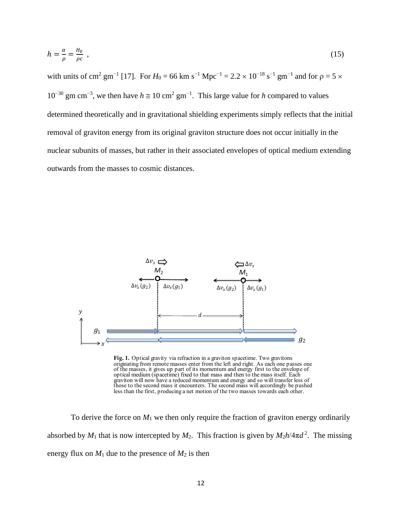$$
h = \frac{\alpha}{\rho} = \frac{H_0}{\rho c} \tag{15}
$$

with units of cm<sup>2</sup> gm<sup>-1</sup> [17]. For  $H_0 = 66$  km s<sup>-1</sup> Mpc<sup>-1</sup> = 2.2 × 10<sup>-18</sup> s<sup>-1</sup> gm<sup>-1</sup> and for  $\rho = 5$  × 10<sup>-30</sup> gm cm<sup>-3</sup>, we then have  $h \approx 10 \text{ cm}^2 \text{ gm}^{-1}$ . This large value for *h* compared to values determined theoretically and in gravitational shielding experiments simply reflects that the initial removal of graviton energy from its original graviton structure does not occur initially in the nuclear subunits of masses, but rather in their associated envelopes of optical medium extending outwards from the masses to cosmic distances.



Fig. 1. Optical gravity via refraction in a graviton spacetime. Two gravitons originating from remote masses enter from the left and right. As each one passes one of the masses, it gives up part of its momentum and energy first to the envelope of optical medium (spacetime) fixed to that mass and then to the mass itself. Each graviton will now have a reduced momentum and energy and so will transfer less of those to the second mass it encounters. The second mass will accordingly be pushed less than the first, producing a net motion of the two masses towards each other.

To derive the force on  $M_1$  we then only require the fraction of graviton energy ordinarily absorbed by  $M_1$  that is now intercepted by  $M_2$ . This fraction is given by  $M_2 h / 4 \pi d^2$ . The missing energy flux on  $M_1$  due to the presence of  $M_2$  is then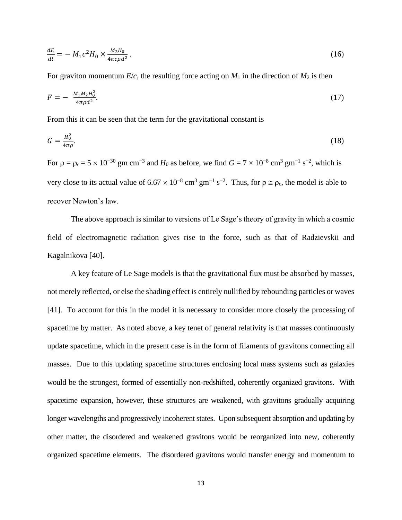$$
\frac{dE}{dt} = -M_1 c^2 H_0 \times \frac{M_2 H_0}{4\pi c \rho d^2} \,. \tag{16}
$$

For graviton momentum  $E/c$ , the resulting force acting on  $M_1$  in the direction of  $M_2$  is then

$$
F = -\frac{M_1 M_2 H_0^2}{4\pi \rho d^2}.
$$
\n(17)

From this it can be seen that the term for the gravitational constant is

$$
G = \frac{H_0^2}{4\pi\rho}.\tag{18}
$$

For  $\rho = \rho_c = 5 \times 10^{-30}$  gm cm<sup>-3</sup> and  $H_0$  as before, we find  $G = 7 \times 10^{-8}$  cm<sup>3</sup> gm<sup>-1</sup> s<sup>-2</sup>, which is very close to its actual value of  $6.67 \times 10^{-8}$  cm<sup>3</sup> gm<sup>-1</sup> s<sup>-2</sup>. Thus, for  $\rho \approx \rho_c$ , the model is able to recover Newton's law.

The above approach is similar to versions of Le Sage's theory of gravity in which a cosmic field of electromagnetic radiation gives rise to the force, such as that of Radzievskii and Kagalnikova [40].

A key feature of Le Sage models is that the gravitational flux must be absorbed by masses, not merely reflected, or else the shading effect is entirely nullified by rebounding particles or waves [41]. To account for this in the model it is necessary to consider more closely the processing of spacetime by matter. As noted above, a key tenet of general relativity is that masses continuously update spacetime, which in the present case is in the form of filaments of gravitons connecting all masses. Due to this updating spacetime structures enclosing local mass systems such as galaxies would be the strongest, formed of essentially non-redshifted, coherently organized gravitons. With spacetime expansion, however, these structures are weakened, with gravitons gradually acquiring longer wavelengths and progressively incoherent states. Upon subsequent absorption and updating by other matter, the disordered and weakened gravitons would be reorganized into new, coherently organized spacetime elements. The disordered gravitons would transfer energy and momentum to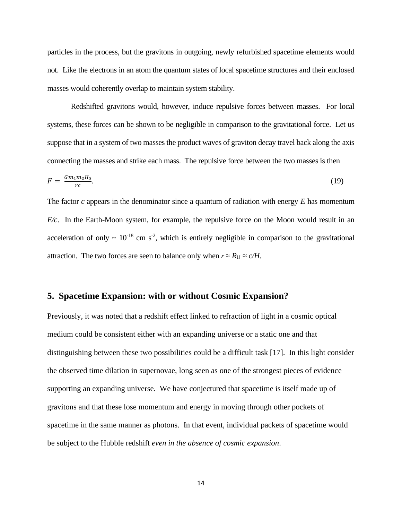particles in the process, but the gravitons in outgoing, newly refurbished spacetime elements would not. Like the electrons in an atom the quantum states of local spacetime structures and their enclosed masses would coherently overlap to maintain system stability.

Redshifted gravitons would, however, induce repulsive forces between masses. For local systems, these forces can be shown to be negligible in comparison to the gravitational force. Let us suppose that in a system of two masses the product waves of graviton decay travel back along the axis connecting the masses and strike each mass. The repulsive force between the two masses is then

$$
F = \frac{Gm_1m_2H_0}{rc}.
$$
\n(19)

The factor *c* appears in the denominator since a quantum of radiation with energy *E* has momentum *E/c*. In the Earth-Moon system, for example, the repulsive force on the Moon would result in an acceleration of only  $\sim 10^{-18}$  cm s<sup>-2</sup>, which is entirely negligible in comparison to the gravitational attraction. The two forces are seen to balance only when  $r \approx R_U \approx c/H$ .

#### **5. Spacetime Expansion: with or without Cosmic Expansion?**

Previously, it was noted that a redshift effect linked to refraction of light in a cosmic optical medium could be consistent either with an expanding universe or a static one and that distinguishing between these two possibilities could be a difficult task [17]. In this light consider the observed time dilation in supernovae, long seen as one of the strongest pieces of evidence supporting an expanding universe. We have conjectured that spacetime is itself made up of gravitons and that these lose momentum and energy in moving through other pockets of spacetime in the same manner as photons. In that event, individual packets of spacetime would be subject to the Hubble redshift *even in the absence of cosmic expansion*.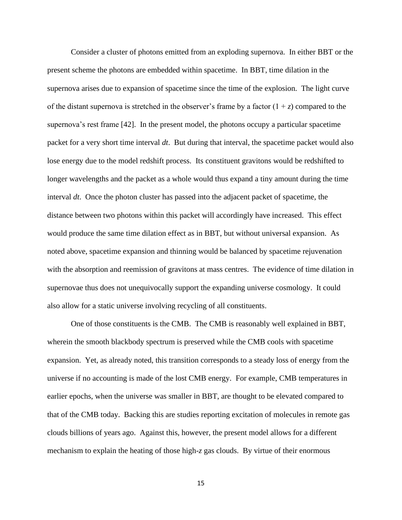Consider a cluster of photons emitted from an exploding supernova. In either BBT or the present scheme the photons are embedded within spacetime. In BBT, time dilation in the supernova arises due to expansion of spacetime since the time of the explosion. The light curve of the distant supernova is stretched in the observer's frame by a factor  $(1 + z)$  compared to the supernova's rest frame [42]. In the present model, the photons occupy a particular spacetime packet for a very short time interval *dt*. But during that interval, the spacetime packet would also lose energy due to the model redshift process. Its constituent gravitons would be redshifted to longer wavelengths and the packet as a whole would thus expand a tiny amount during the time interval *dt*. Once the photon cluster has passed into the adjacent packet of spacetime, the distance between two photons within this packet will accordingly have increased. This effect would produce the same time dilation effect as in BBT, but without universal expansion. As noted above, spacetime expansion and thinning would be balanced by spacetime rejuvenation with the absorption and reemission of gravitons at mass centres. The evidence of time dilation in supernovae thus does not unequivocally support the expanding universe cosmology. It could also allow for a static universe involving recycling of all constituents.

One of those constituents is the CMB. The CMB is reasonably well explained in BBT, wherein the smooth blackbody spectrum is preserved while the CMB cools with spacetime expansion. Yet, as already noted, this transition corresponds to a steady loss of energy from the universe if no accounting is made of the lost CMB energy. For example, CMB temperatures in earlier epochs, when the universe was smaller in BBT, are thought to be elevated compared to that of the CMB today. Backing this are studies reporting excitation of molecules in remote gas clouds billions of years ago. Against this, however, the present model allows for a different mechanism to explain the heating of those high*-z* gas clouds. By virtue of their enormous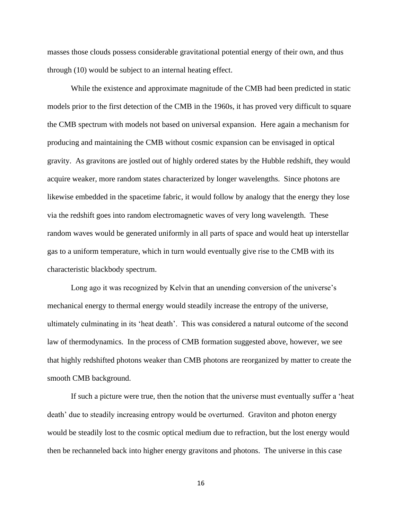masses those clouds possess considerable gravitational potential energy of their own, and thus through (10) would be subject to an internal heating effect.

While the existence and approximate magnitude of the CMB had been predicted in static models prior to the first detection of the CMB in the 1960s, it has proved very difficult to square the CMB spectrum with models not based on universal expansion. Here again a mechanism for producing and maintaining the CMB without cosmic expansion can be envisaged in optical gravity. As gravitons are jostled out of highly ordered states by the Hubble redshift, they would acquire weaker, more random states characterized by longer wavelengths. Since photons are likewise embedded in the spacetime fabric, it would follow by analogy that the energy they lose via the redshift goes into random electromagnetic waves of very long wavelength. These random waves would be generated uniformly in all parts of space and would heat up interstellar gas to a uniform temperature, which in turn would eventually give rise to the CMB with its characteristic blackbody spectrum.

Long ago it was recognized by Kelvin that an unending conversion of the universe's mechanical energy to thermal energy would steadily increase the entropy of the universe, ultimately culminating in its 'heat death'. This was considered a natural outcome of the second law of thermodynamics. In the process of CMB formation suggested above, however, we see that highly redshifted photons weaker than CMB photons are reorganized by matter to create the smooth CMB background.

If such a picture were true, then the notion that the universe must eventually suffer a 'heat death' due to steadily increasing entropy would be overturned. Graviton and photon energy would be steadily lost to the cosmic optical medium due to refraction, but the lost energy would then be rechanneled back into higher energy gravitons and photons. The universe in this case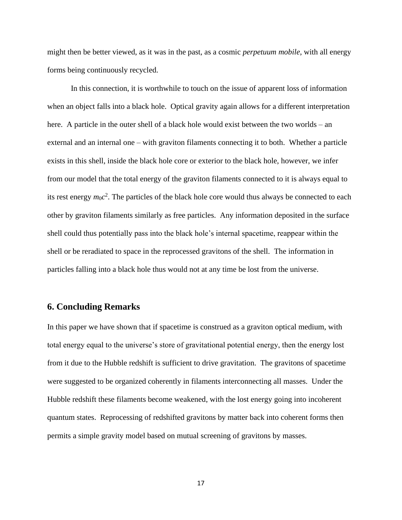might then be better viewed, as it was in the past, as a cosmic *perpetuum mobile*, with all energy forms being continuously recycled.

In this connection, it is worthwhile to touch on the issue of apparent loss of information when an object falls into a black hole. Optical gravity again allows for a different interpretation here. A particle in the outer shell of a black hole would exist between the two worlds – an external and an internal one – with graviton filaments connecting it to both. Whether a particle exists in this shell, inside the black hole core or exterior to the black hole, however, we infer from our model that the total energy of the graviton filaments connected to it is always equal to its rest energy  $m_0c^2$ . The particles of the black hole core would thus always be connected to each other by graviton filaments similarly as free particles. Any information deposited in the surface shell could thus potentially pass into the black hole's internal spacetime, reappear within the shell or be reradiated to space in the reprocessed gravitons of the shell. The information in particles falling into a black hole thus would not at any time be lost from the universe.

# **6. Concluding Remarks**

In this paper we have shown that if spacetime is construed as a graviton optical medium, with total energy equal to the universe's store of gravitational potential energy, then the energy lost from it due to the Hubble redshift is sufficient to drive gravitation. The gravitons of spacetime were suggested to be organized coherently in filaments interconnecting all masses. Under the Hubble redshift these filaments become weakened, with the lost energy going into incoherent quantum states.Reprocessing of redshifted gravitons by matter back into coherent forms then permits a simple gravity model based on mutual screening of gravitons by masses.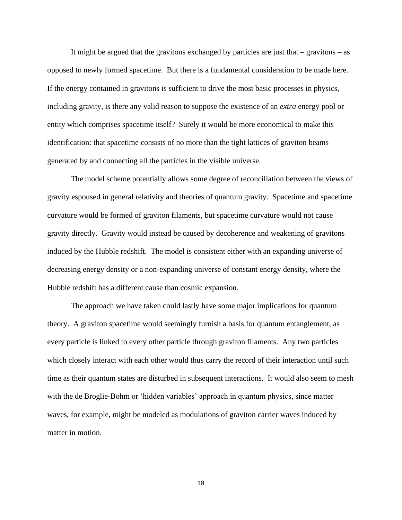It might be argued that the gravitons exchanged by particles are just that – gravitons – as opposed to newly formed spacetime. But there is a fundamental consideration to be made here. If the energy contained in gravitons is sufficient to drive the most basic processes in physics, including gravity, is there any valid reason to suppose the existence of an *extra* energy pool or entity which comprises spacetime itself? Surely it would be more economical to make this identification: that spacetime consists of no more than the tight lattices of graviton beams generated by and connecting all the particles in the visible universe.

The model scheme potentially allows some degree of reconciliation between the views of gravity espoused in general relativity and theories of quantum gravity. Spacetime and spacetime curvature would be formed of graviton filaments, but spacetime curvature would not cause gravity directly. Gravity would instead be caused by decoherence and weakening of gravitons induced by the Hubble redshift. The model is consistent either with an expanding universe of decreasing energy density or a non-expanding universe of constant energy density, where the Hubble redshift has a different cause than cosmic expansion.

The approach we have taken could lastly have some major implications for quantum theory. A graviton spacetime would seemingly furnish a basis for quantum entanglement, as every particle is linked to every other particle through graviton filaments. Any two particles which closely interact with each other would thus carry the record of their interaction until such time as their quantum states are disturbed in subsequent interactions. It would also seem to mesh with the de Broglie-Bohm or 'hidden variables' approach in quantum physics, since matter waves, for example, might be modeled as modulations of graviton carrier waves induced by matter in motion.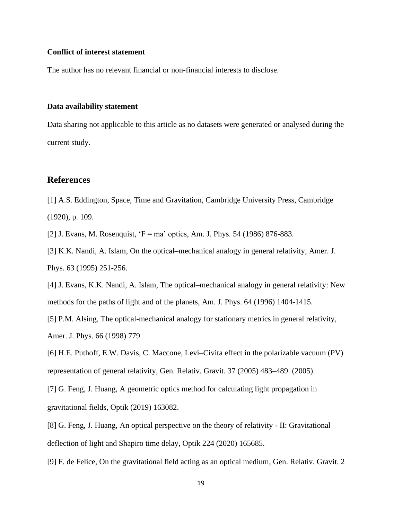#### **Conflict of interest statement**

The author has no relevant financial or non-financial interests to disclose.

#### **Data availability statement**

Data sharing not applicable to this article as no datasets were generated or analysed during the current study.

# **References**

[1] A.S. Eddington, Space, Time and Gravitation, Cambridge University Press, Cambridge (1920), p. 109.

[2] J. Evans, M. Rosenquist, 'F = ma' optics, Am. J. Phys. 54 (1986) 876-883.

[3] K.K. Nandi, A. Islam, On the optical–mechanical analogy in general relativity, Amer. J. Phys. 63 (1995) 251-256.

[4] J. Evans, K.K. Nandi, A. Islam, The optical–mechanical analogy in general relativity: New methods for the paths of light and of the planets, Am. J. Phys. 64 (1996) 1404-1415.

[5] P.M. Alsing, The optical-mechanical analogy for stationary metrics in general relativity, Amer. J. Phys. 66 (1998) 779

[6] H.E. Puthoff, E.W. Davis, C. Maccone, Levi–Civita effect in the polarizable vacuum (PV) representation of general relativity, Gen. Relativ. Gravit. 37 (2005) 483–489. (2005).

[7] G. Feng, J. Huang, A geometric optics method for calculating light propagation in gravitational fields, Optik (2019) 163082.

[8] G. Feng, J. Huang, An optical perspective on the theory of relativity - II: Gravitational deflection of light and Shapiro time delay, Optik 224 (2020) 165685.

[9] F. de Felice, On the gravitational field acting as an optical medium, Gen. Relativ. Gravit. 2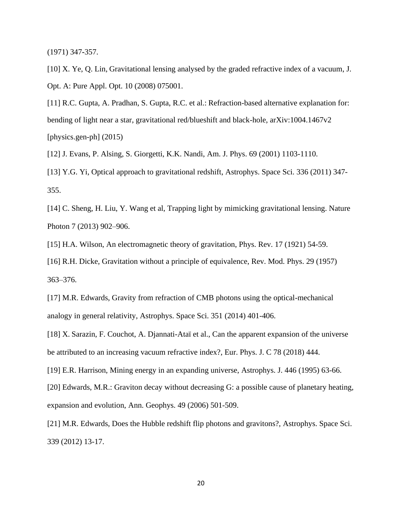(1971) 347**-**357.

[10] X. Ye, O. Lin, Gravitational lensing analysed by the graded refractive index of a vacuum, J. Opt. A: Pure Appl. Opt. 10 (2008) 075001.

[11] R.C. Gupta, A. Pradhan, S. Gupta, R.C. et al.: Refraction-based alternative explanation for: bending of light near a star, gravitational red/blueshift and black-hole, arXiv:1004.1467v2 [physics.gen-ph]  $(2015)$ 

[12] J. Evans, P. Alsing, S. Giorgetti, K.K. Nandi, Am. J. Phys. 69 (2001) 1103-1110.

[13] Y.G. Yi, Optical approach to gravitational redshift, Astrophys. Space Sci. 336 (2011) 347- 355.

[14] C. Sheng, H. Liu, Y. Wang et al, Trapping light by mimicking gravitational lensing. Nature Photon 7 (2013) 902–906.

[15] H.A. Wilson, An electromagnetic theory of gravitation, Phys. Rev. 17 (1921) 54-59.

[16] R.H. Dicke, Gravitation without a principle of equivalence, Rev. Mod. Phys. 29 (1957) 363–376.

[17] M.R. Edwards, Gravity from refraction of CMB photons using the optical-mechanical analogy in general relativity, Astrophys. Space Sci. 351 (2014) 401-406.

[18] X. Sarazin, F. Couchot, A. Djannati-Ataï et al., Can the apparent expansion of the universe be attributed to an increasing vacuum refractive index?, Eur. Phys. J. C 78 (2018) 444.

[19] E.R. Harrison, Mining energy in an expanding universe, Astrophys. J. 446 (1995) 63-66.

[20] Edwards, M.R.: Graviton decay without decreasing G: a possible cause of planetary heating, expansion and evolution, Ann. Geophys. 49 (2006) 501-509.

[21] M.R. Edwards, Does the Hubble redshift flip photons and gravitons?, Astrophys. Space Sci. 339 (2012) 13-17.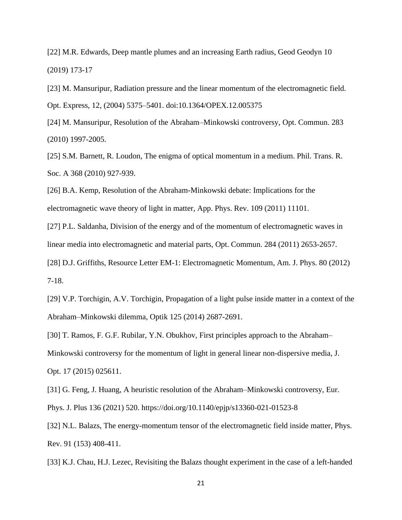[22] M.R. Edwards, Deep mantle plumes and an increasing Earth radius, Geod Geodyn 10 (2019) 173-17

[23] M. Mansuripur, Radiation pressure and the linear momentum of the electromagnetic field. Opt. Express, 12, (2004) 5375–5401. doi:10.1364/OPEX.12.005375

[24] M. Mansuripur, Resolution of the Abraham–Minkowski controversy, Opt. Commun. 283 (2010) 1997-2005.

[25] S.M. Barnett, R. Loudon, The enigma of optical momentum in a medium. Phil. Trans. R. Soc. A 368 (2010) 927-939.

[26] B.A. Kemp, Resolution of the Abraham-Minkowski debate: Implications for the electromagnetic wave theory of light in matter, App. Phys. Rev. 109 (2011) 11101.

[27] P.L. Saldanha, Division of the energy and of the momentum of electromagnetic waves in linear media into electromagnetic and material parts, Opt. Commun. 284 (2011) 2653-2657.

[28] D.J. Griffiths, Resource Letter EM-1: Electromagnetic Momentum, Am. J. Phys. 80 (2012) 7-18.

[29] V.P. Torchigin, A.V. Torchigin, Propagation of a light pulse inside matter in a context of the Abraham–Minkowski dilemma, Optik 125 (2014) 2687-2691.

[30] T. Ramos, F. G.F. Rubilar, Y.N. Obukhov, First principles approach to the Abraham– Minkowski controversy for the momentum of light in general linear non-dispersive media, J. Opt. 17 (2015) 025611.

[31] G. Feng, J. Huang, A heuristic resolution of the Abraham–Minkowski controversy, Eur.

Phys. J. Plus 136 (2021) 520. https://doi.org/10.1140/epjp/s13360-021-01523-8

[32] N.L. Balazs, The energy-momentum tensor of the electromagnetic field inside matter, Phys. Rev. 91 (153) 408-411.

[33] K.J. Chau, H.J. Lezec, Revisiting the Balazs thought experiment in the case of a left-handed